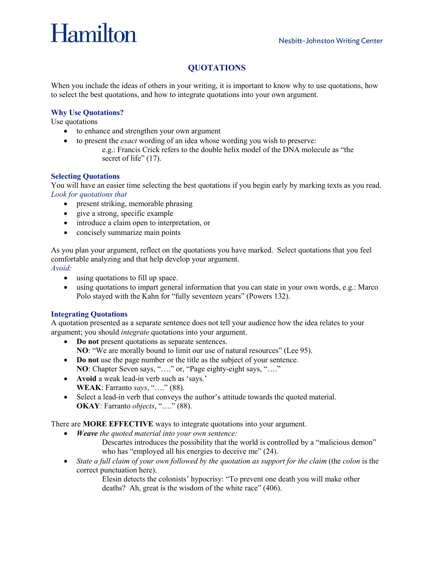# Hamilton

# **QUOTATIONS**

When you include the ideas of others in your writing, it is important to know why to use quotations, how to select the best quotations, and how to integrate quotations into your own argument.

## **Why Use Quotations?**

Use quotations

- to enhance and strengthen your own argument
- to present the *exact* wording of an idea whose wording you wish to preserve:
	- e.g.: Francis Crick refers to the double helix model of the DNA molecule as "the secret of life" (17).

#### **Selecting Quotations**

You will have an easier time selecting the best quotations if you begin early by marking texts as you read. *Look for quotations that*

- present striking, memorable phrasing
- give a strong, specific example
- introduce a claim open to interpretation, or
- concisely summarize main points

As you plan your argument, reflect on the quotations you have marked.Select quotations that you feel comfortable analyzing and that help develop your argument.

*Avoid:*

- using quotations to fill up space.
- using quotations to impart general information that you can state in your own words, e.g.: Marco Polo stayed with the Kahn for "fully seventeen years" (Powers 132).

### **Integrating Quotations**

A quotation presented as a separate sentence does not tell your audience how the idea relates to your argument; you should *integrate* quotations into your argument.

- **Do not** present quotations as separate sentences.
	- **NO**: "We are morally bound to limit our use of natural resources" (Lee 95).
- **Do not** use the page number or the title as the subject of your sentence. **NO**: Chapter Seven says, "…." or, "Page eighty-eight says, "…."
- **Avoid** a weak lead-in verb such as 'says.' **WEAK**: Farranto *says*, "…." (88).
- Select a lead-in verb that conveys the author's attitude towards the quoted material. **OKAY**: Farranto *objects*, "…." (88).

There are **MORE EFFECTIVE** ways to integrate quotations into your argument.

- *Weave the quoted material into your own sentence:*
	- Descartes introduces the possibility that the world is controlled by a "malicious demon" who has "employed all his energies to deceive me"  $(24)$ .
- *State a full claim of your own followed by the quotation as support for the claim* (the *colon* is the correct punctuation here).

Elesin detects the colonists' hypocrisy: "To prevent one death you will make other deaths? Ah, great is the wisdom of the white race" (406).